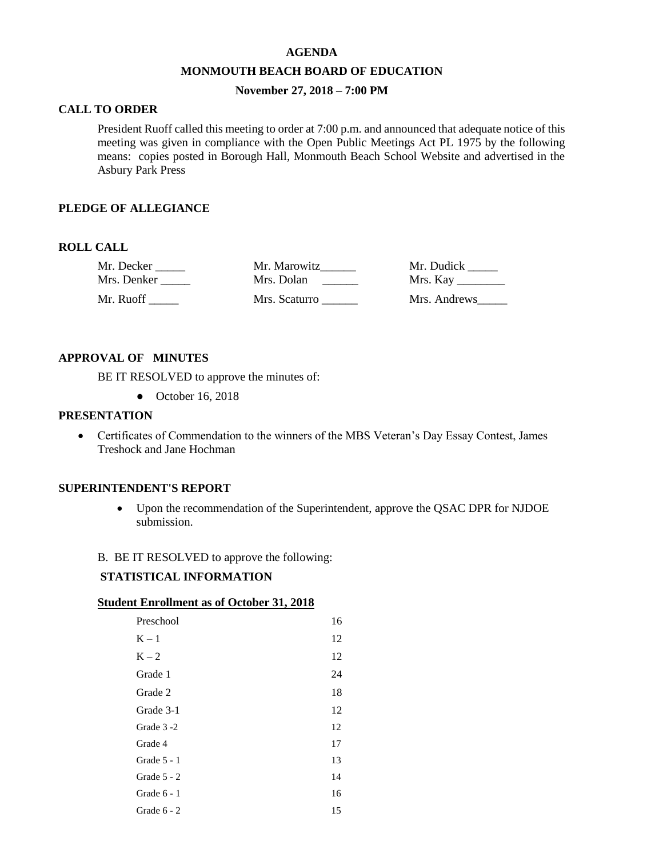#### **AGENDA**

#### **MONMOUTH BEACH BOARD OF EDUCATION**

# **November 27, 2018 – 7:00 PM**

## **CALL TO ORDER**

President Ruoff called this meeting to order at 7:00 p.m. and announced that adequate notice of this meeting was given in compliance with the Open Public Meetings Act PL 1975 by the following means: copies posted in Borough Hall, Monmouth Beach School Website and advertised in the Asbury Park Press

# **PLEDGE OF ALLEGIANCE**

## **ROLL CALL**

| Mr. Decker  | Mr. Marowitz  | Mr. Dudick   |
|-------------|---------------|--------------|
| Mrs. Denker | Mrs. Dolan    |              |
| Mr. Ruoff   | Mrs. Scaturro | Mrs. Andrews |

# **APPROVAL OF MINUTES**

BE IT RESOLVED to approve the minutes of:

● October 16, 2018

## **PRESENTATION**

 Certificates of Commendation to the winners of the MBS Veteran's Day Essay Contest, James Treshock and Jane Hochman

### **SUPERINTENDENT'S REPORT**

 Upon the recommendation of the Superintendent, approve the QSAC DPR for NJDOE submission.

### B. BE IT RESOLVED to approve the following:

## **STATISTICAL INFORMATION**

### **Student Enrollment as of October 31, 2018**

| Preschool     | 16 |
|---------------|----|
| $K - 1$       | 12 |
| $K - 2$       | 12 |
| Grade 1       | 24 |
| Grade 2       | 18 |
| Grade 3-1     | 12 |
| Grade 3 -2    | 12 |
| Grade 4       | 17 |
| Grade $5 - 1$ | 13 |
| Grade $5 - 2$ | 14 |
| Grade 6 - 1   | 16 |
| Grade $6 - 2$ | 15 |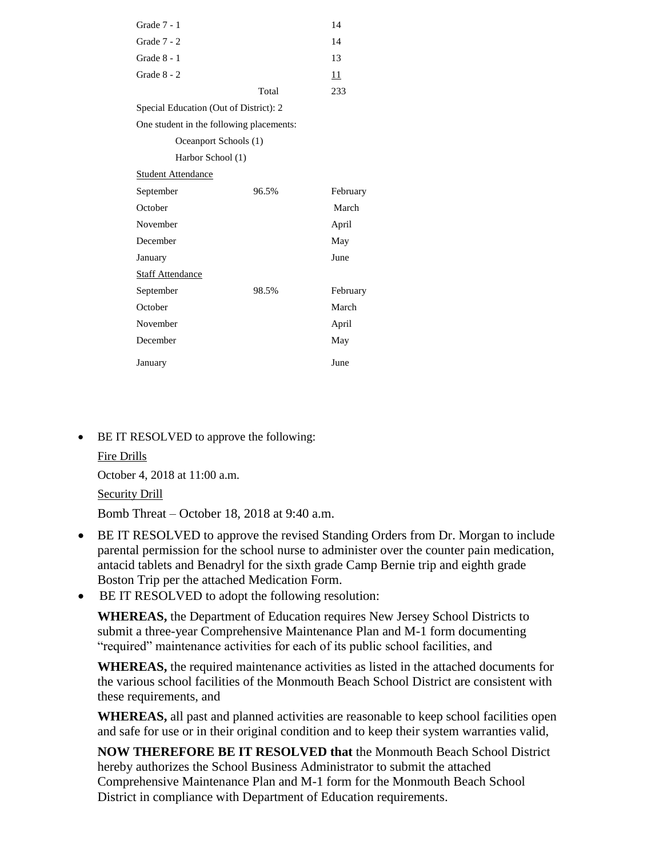| Grade 7 - 1                              |       | 14       |  |  |
|------------------------------------------|-------|----------|--|--|
| Grade $7 - 2$                            |       | 14       |  |  |
| Grade $8 - 1$                            |       | 13       |  |  |
| Grade 8 - 2                              |       | 11       |  |  |
|                                          | Total | 233      |  |  |
| Special Education (Out of District): 2   |       |          |  |  |
| One student in the following placements: |       |          |  |  |
| Oceanport Schools (1)                    |       |          |  |  |
| Harbor School (1)                        |       |          |  |  |
| <b>Student Attendance</b>                |       |          |  |  |
| September                                | 96.5% | February |  |  |
| October                                  |       | March    |  |  |
| November                                 |       | April    |  |  |
| December                                 |       | May      |  |  |
| January                                  |       | June     |  |  |
| <b>Staff Attendance</b>                  |       |          |  |  |
| September                                | 98.5% | February |  |  |
| October                                  |       | March    |  |  |
| November                                 |       | April    |  |  |
| December                                 |       | May      |  |  |
| January                                  |       | June     |  |  |

BE IT RESOLVED to approve the following:

Fire Drills October 4, 2018 at 11:00 a.m. Security Drill Bomb Threat – October 18, 2018 at 9:40 a.m.

- BE IT RESOLVED to approve the revised Standing Orders from Dr. Morgan to include parental permission for the school nurse to administer over the counter pain medication, antacid tablets and Benadryl for the sixth grade Camp Bernie trip and eighth grade Boston Trip per the attached Medication Form.
- BE IT RESOLVED to adopt the following resolution:

**WHEREAS,** the Department of Education requires New Jersey School Districts to submit a three-year Comprehensive Maintenance Plan and M-1 form documenting "required" maintenance activities for each of its public school facilities, and

**WHEREAS,** the required maintenance activities as listed in the attached documents for the various school facilities of the Monmouth Beach School District are consistent with these requirements, and

**WHEREAS,** all past and planned activities are reasonable to keep school facilities open and safe for use or in their original condition and to keep their system warranties valid,

**NOW THEREFORE BE IT RESOLVED that** the Monmouth Beach School District hereby authorizes the School Business Administrator to submit the attached Comprehensive Maintenance Plan and M-1 form for the Monmouth Beach School District in compliance with Department of Education requirements.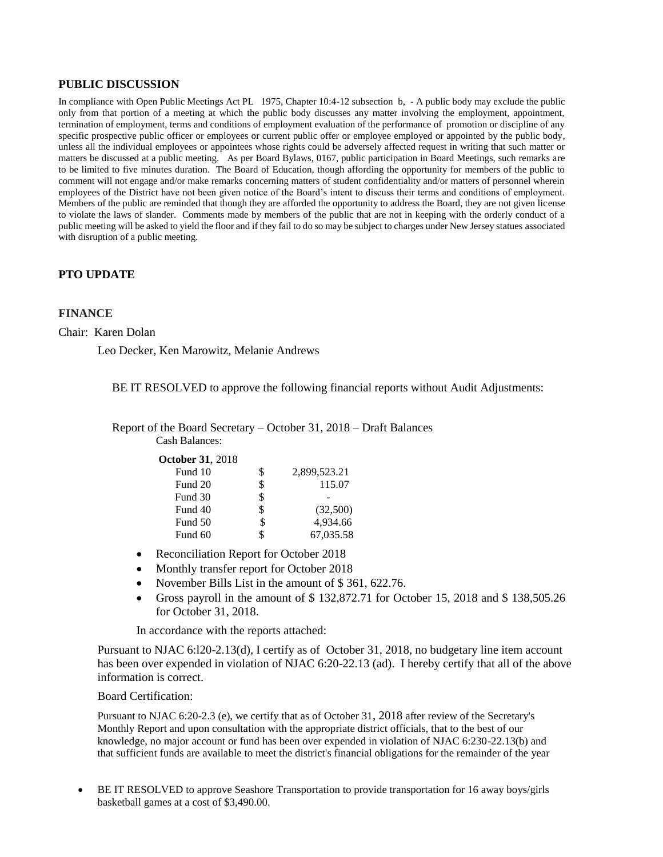## **PUBLIC DISCUSSION**

In compliance with Open Public Meetings Act PL 1975, Chapter 10:4-12 subsection b, - A public body may exclude the public only from that portion of a meeting at which the public body discusses any matter involving the employment, appointment, termination of employment, terms and conditions of employment evaluation of the performance of promotion or discipline of any specific prospective public officer or employees or current public offer or employee employed or appointed by the public body, unless all the individual employees or appointees whose rights could be adversely affected request in writing that such matter or matters be discussed at a public meeting. As per Board Bylaws, 0167, public participation in Board Meetings, such remarks are to be limited to five minutes duration. The Board of Education, though affording the opportunity for members of the public to comment will not engage and/or make remarks concerning matters of student confidentiality and/or matters of personnel wherein employees of the District have not been given notice of the Board's intent to discuss their terms and conditions of employment. Members of the public are reminded that though they are afforded the opportunity to address the Board, they are not given license to violate the laws of slander. Comments made by members of the public that are not in keeping with the orderly conduct of a public meeting will be asked to yield the floor and if they fail to do so may be subject to charges under New Jersey statues associated with disruption of a public meeting.

## **PTO UPDATE**

### **FINANCE**

#### Chair: Karen Dolan

Leo Decker, Ken Marowitz, Melanie Andrews

BE IT RESOLVED to approve the following financial reports without Audit Adjustments:

Report of the Board Secretary – October 31, 2018 – Draft Balances Cash Balances:

| <b>October 31, 2018</b> |    |              |
|-------------------------|----|--------------|
| Fund 10                 | S  | 2,899,523.21 |
| Fund 20                 |    | 115.07       |
| Fund 30                 |    |              |
| Fund 40                 |    | (32,500)     |
| Fund 50                 | \$ | 4,934.66     |
| Fund 60                 |    | 67,035.58    |

- Reconciliation Report for October 2018
- Monthly transfer report for October 2018
- November Bills List in the amount of \$361, 622.76.
- Gross payroll in the amount of  $$132,872.71$  for October 15, 2018 and  $$138,505.26$ for October 31, 2018.

In accordance with the reports attached:

Pursuant to NJAC 6:l20-2.13(d), I certify as of October 31, 2018, no budgetary line item account has been over expended in violation of NJAC 6:20-22.13 (ad). I hereby certify that all of the above information is correct.

### Board Certification:

Pursuant to NJAC 6:20-2.3 (e), we certify that as of October 31, 2018 after review of the Secretary's Monthly Report and upon consultation with the appropriate district officials, that to the best of our knowledge, no major account or fund has been over expended in violation of NJAC 6:230-22.13(b) and that sufficient funds are available to meet the district's financial obligations for the remainder of the year.

 BE IT RESOLVED to approve Seashore Transportation to provide transportation for 16 away boys/girls basketball games at a cost of \$3,490.00.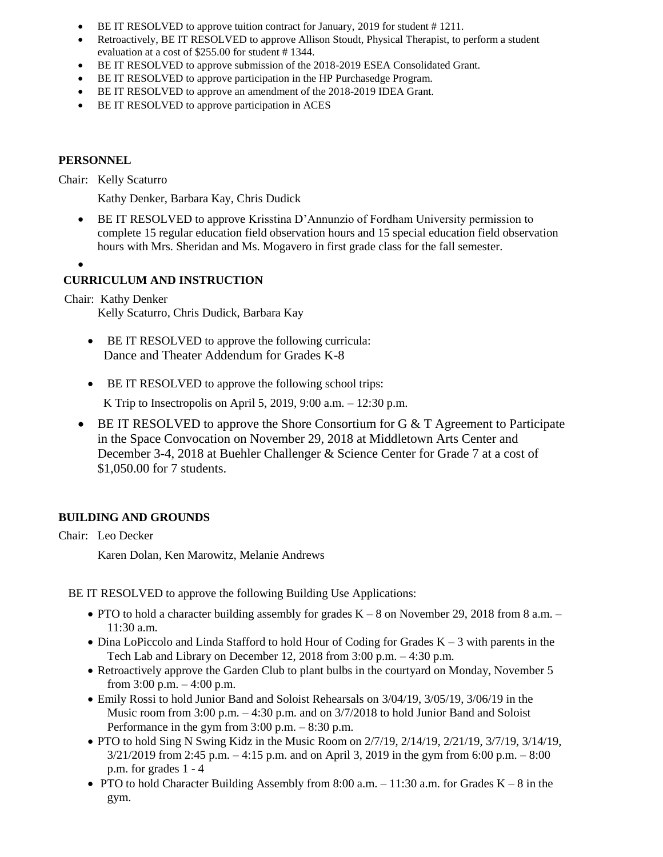- BE IT RESOLVED to approve tuition contract for January, 2019 for student # 1211.
- Retroactively, BE IT RESOLVED to approve Allison Stoudt, Physical Therapist, to perform a student evaluation at a cost of \$255.00 for student # 1344.
- BE IT RESOLVED to approve submission of the 2018-2019 ESEA Consolidated Grant.
- BE IT RESOLVED to approve participation in the HP Purchasedge Program.
- BE IT RESOLVED to approve an amendment of the 2018-2019 IDEA Grant.
- BE IT RESOLVED to approve participation in ACES

# **PERSONNEL**

Chair: Kelly Scaturro

Kathy Denker, Barbara Kay, Chris Dudick

- BE IT RESOLVED to approve Krisstina D'Annunzio of Fordham University permission to complete 15 regular education field observation hours and 15 special education field observation hours with Mrs. Sheridan and Ms. Mogavero in first grade class for the fall semester.
- $\bullet$

# **CURRICULUM AND INSTRUCTION**

Chair: Kathy Denker

Kelly Scaturro, Chris Dudick, Barbara Kay

- BE IT RESOLVED to approve the following curricula: Dance and Theater Addendum for Grades K-8
- BE IT RESOLVED to approve the following school trips:

K Trip to Insectropolis on April 5, 2019, 9:00 a.m. – 12:30 p.m.

 BE IT RESOLVED to approve the Shore Consortium for G & T Agreement to Participate in the Space Convocation on November 29, 2018 at Middletown Arts Center and December 3-4, 2018 at Buehler Challenger & Science Center for Grade 7 at a cost of \$1,050.00 for 7 students.

# **BUILDING AND GROUNDS**

Chair: Leo Decker

Karen Dolan, Ken Marowitz, Melanie Andrews

BE IT RESOLVED to approve the following Building Use Applications:

- PTO to hold a character building assembly for grades  $K 8$  on November 29, 2018 from 8 a.m. 11:30 a.m.
- $\bullet$  Dina LoPiccolo and Linda Stafford to hold Hour of Coding for Grades K 3 with parents in the Tech Lab and Library on December 12, 2018 from 3:00 p.m. – 4:30 p.m.
- Retroactively approve the Garden Club to plant bulbs in the courtyard on Monday, November 5 from 3:00 p.m. – 4:00 p.m.
- Emily Rossi to hold Junior Band and Soloist Rehearsals on 3/04/19, 3/05/19, 3/06/19 in the Music room from  $3:00$  p.m.  $-4:30$  p.m. and on  $3/7/2018$  to hold Junior Band and Soloist Performance in the gym from 3:00 p.m. – 8:30 p.m.
- PTO to hold Sing N Swing Kidz in the Music Room on  $2/7/19$ ,  $2/14/19$ ,  $2/21/19$ ,  $3/7/19$ ,  $3/14/19$ , 3/21/2019 from 2:45 p.m. – 4:15 p.m. and on April 3, 2019 in the gym from 6:00 p.m. – 8:00 p.m. for grades 1 - 4
- PTO to hold Character Building Assembly from 8:00 a.m. 11:30 a.m. for Grades  $K 8$  in the gym.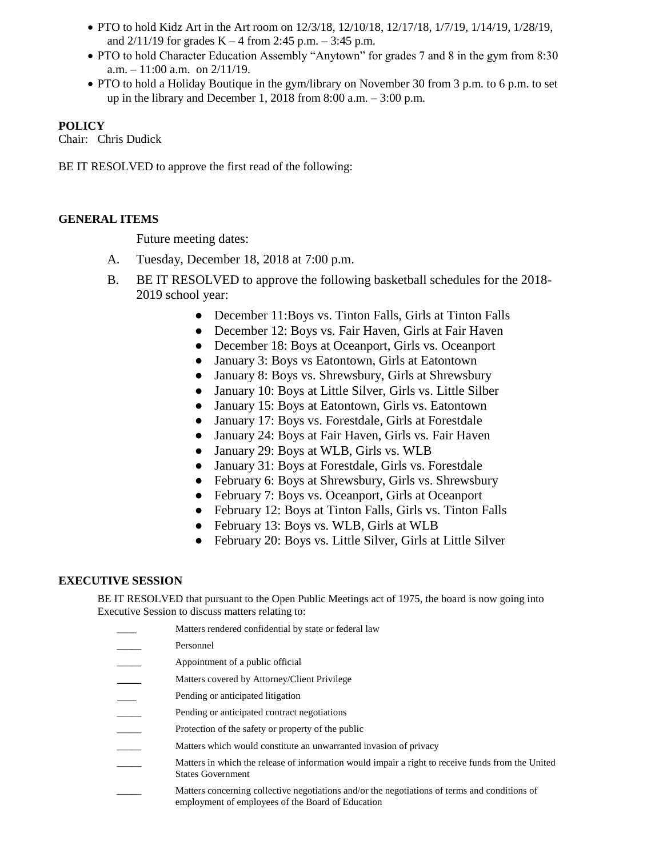- PTO to hold Kidz Art in the Art room on  $12/3/18$ ,  $12/10/18$ ,  $12/17/18$ ,  $1/7/19$ ,  $1/14/19$ ,  $1/28/19$ , and  $2/11/19$  for grades K – 4 from 2:45 p.m. – 3:45 p.m.
- PTO to hold Character Education Assembly "Anytown" for grades 7 and 8 in the gym from 8:30 a.m.  $-11:00$  a.m. on  $2/11/19$ .
- PTO to hold a Holiday Boutique in the gym/library on November 30 from 3 p.m. to 6 p.m. to set up in the library and December 1, 2018 from 8:00 a.m. – 3:00 p.m.

# **POLICY**

Chair: Chris Dudick

BE IT RESOLVED to approve the first read of the following:

# **GENERAL ITEMS**

Future meeting dates:

- A. Tuesday, December 18, 2018 at 7:00 p.m.
- B. BE IT RESOLVED to approve the following basketball schedules for the 2018- 2019 school year:
	- December 11: Boys vs. Tinton Falls, Girls at Tinton Falls
	- December 12: Boys vs. Fair Haven, Girls at Fair Haven
	- December 18: Boys at Oceanport, Girls vs. Oceanport
	- January 3: Boys vs Eatontown, Girls at Eatontown
	- January 8: Boys vs. Shrewsbury, Girls at Shrewsbury
	- January 10: Boys at Little Silver, Girls vs. Little Silber
	- January 15: Boys at Eatontown, Girls vs. Eatontown
	- January 17: Boys vs. Forestdale, Girls at Forestdale
	- January 24: Boys at Fair Haven, Girls vs. Fair Haven
	- January 29: Boys at WLB, Girls vs. WLB
	- January 31: Boys at Forestdale, Girls vs. Forestdale
	- February 6: Boys at Shrewsbury, Girls vs. Shrewsbury
	- February 7: Boys vs. Oceanport, Girls at Oceanport
	- February 12: Boys at Tinton Falls, Girls vs. Tinton Falls
	- February 13: Boys vs. WLB, Girls at WLB
	- February 20: Boys vs. Little Silver, Girls at Little Silver

# **EXECUTIVE SESSION**

BE IT RESOLVED that pursuant to the Open Public Meetings act of 1975, the board is now going into Executive Session to discuss matters relating to:

- Matters rendered confidential by state or federal law
- \_\_\_\_\_ Personnel
- Appointment of a public official
- Matters covered by Attorney/Client Privilege
- Pending or anticipated litigation
- Pending or anticipated contract negotiations
- Protection of the safety or property of the public
- Matters which would constitute an unwarranted invasion of privacy
- \_\_\_\_\_ Matters in which the release of information would impair a right to receive funds from the United States Government
	- Matters concerning collective negotiations and/or the negotiations of terms and conditions of employment of employees of the Board of Education